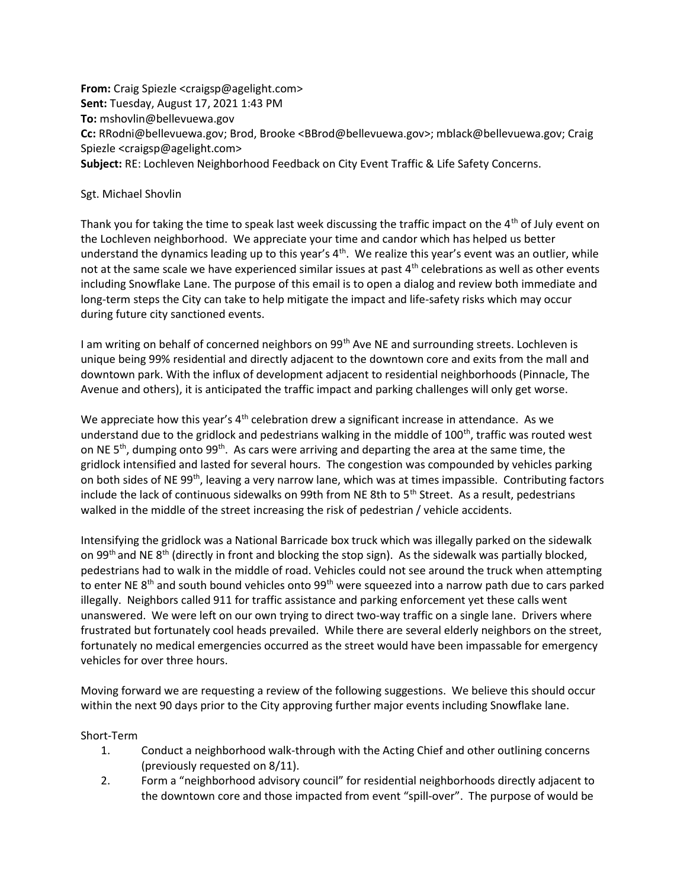From: Craig Spiezle <craigsp@agelight.com> Sent: Tuesday, August 17, 2021 1:43 PM To: mshovlin@bellevuewa.gov Cc: RRodni@bellevuewa.gov; Brod, Brooke <BBrod@bellevuewa.gov>; mblack@bellevuewa.gov; Craig Spiezle <craigsp@agelight.com> Subject: RE: Lochleven Neighborhood Feedback on City Event Traffic & Life Safety Concerns.

## Sgt. Michael Shovlin

Thank you for taking the time to speak last week discussing the traffic impact on the  $4<sup>th</sup>$  of July event on the Lochleven neighborhood. We appreciate your time and candor which has helped us better understand the dynamics leading up to this year's  $4<sup>th</sup>$ . We realize this year's event was an outlier, while not at the same scale we have experienced similar issues at past  $4<sup>th</sup>$  celebrations as well as other events including Snowflake Lane. The purpose of this email is to open a dialog and review both immediate and long-term steps the City can take to help mitigate the impact and life-safety risks which may occur during future city sanctioned events.

I am writing on behalf of concerned neighbors on 99<sup>th</sup> Ave NE and surrounding streets. Lochleven is unique being 99% residential and directly adjacent to the downtown core and exits from the mall and downtown park. With the influx of development adjacent to residential neighborhoods (Pinnacle, The Avenue and others), it is anticipated the traffic impact and parking challenges will only get worse.

We appreciate how this year's  $4<sup>th</sup>$  celebration drew a significant increase in attendance. As we understand due to the gridlock and pedestrians walking in the middle of 100<sup>th</sup>, traffic was routed west on NE 5<sup>th</sup>, dumping onto 99<sup>th</sup>. As cars were arriving and departing the area at the same time, the gridlock intensified and lasted for several hours. The congestion was compounded by vehicles parking on both sides of NE 99<sup>th</sup>, leaving a very narrow lane, which was at times impassible. Contributing factors include the lack of continuous sidewalks on 99th from NE 8th to  $5<sup>th</sup>$  Street. As a result, pedestrians walked in the middle of the street increasing the risk of pedestrian / vehicle accidents.

Intensifying the gridlock was a National Barricade box truck which was illegally parked on the sidewalk on 99<sup>th</sup> and NE 8<sup>th</sup> (directly in front and blocking the stop sign). As the sidewalk was partially blocked, pedestrians had to walk in the middle of road. Vehicles could not see around the truck when attempting to enter NE 8<sup>th</sup> and south bound vehicles onto 99<sup>th</sup> were squeezed into a narrow path due to cars parked illegally. Neighbors called 911 for traffic assistance and parking enforcement yet these calls went unanswered. We were left on our own trying to direct two-way traffic on a single lane. Drivers where frustrated but fortunately cool heads prevailed. While there are several elderly neighbors on the street, fortunately no medical emergencies occurred as the street would have been impassable for emergency vehicles for over three hours.

Moving forward we are requesting a review of the following suggestions. We believe this should occur within the next 90 days prior to the City approving further major events including Snowflake lane.

## Short-Term

- 1. Conduct a neighborhood walk-through with the Acting Chief and other outlining concerns (previously requested on 8/11).
- 2. Form a "neighborhood advisory council" for residential neighborhoods directly adjacent to the downtown core and those impacted from event "spill-over". The purpose of would be